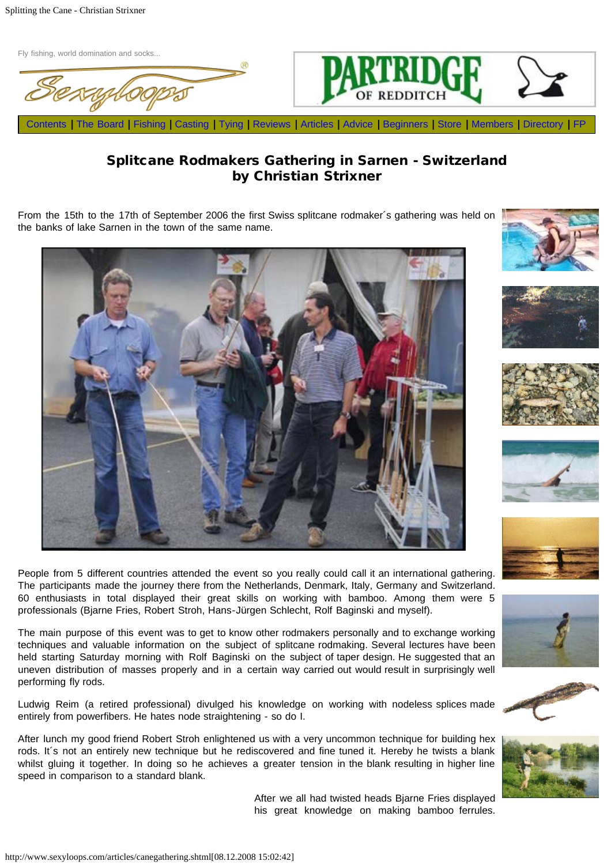





## Splitcane Rodmakers Gathering in Sarnen - Switzerland by Christian Strixner

From the 15th to the 17th of September 2006 the first Swiss splitcane rodmaker´s gathering was held on the banks of lake Sarnen in the town of the same name.



People from 5 different countries attended the event so you really could call it an international gathering. The participants made the journey there from the Netherlands, Denmark, Italy, Germany and Switzerland. 60 enthusiasts in total displayed their great skills on working with bamboo. Among them were 5 professionals (Bjarne Fries, Robert Stroh, Hans-Jürgen Schlecht, Rolf Baginski and myself).

The main purpose of this event was to get to know other rodmakers personally and to exchange working techniques and valuable information on the subject of splitcane rodmaking. Several lectures have been held starting Saturday morning with Rolf Baginski on the subject of taper design. He suggested that an uneven distribution of masses properly and in a certain way carried out would result in surprisingly well performing fly rods.

Ludwig Reim (a retired professional) divulged his knowledge on working with nodeless splices made entirely from powerfibers. He hates node straightening - so do I.

After lunch my good friend Robert Stroh enlightened us with a very uncommon technique for building hex rods. It´s not an entirely new technique but he rediscovered and fine tuned it. Hereby he twists a blank whilst gluing it together. In doing so he achieves a greater tension in the blank resulting in higher line speed in comparison to a standard blank.

> After we all had twisted heads Bjarne Fries displayed his great knowledge on making bamboo ferrules.















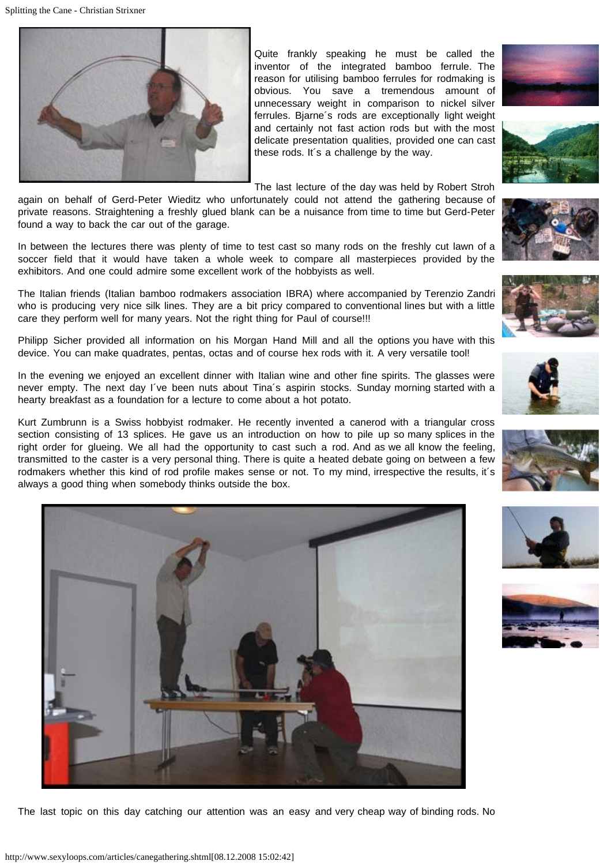

Quite frankly speaking he must be called the inventor of the integrated bamboo ferrule. The reason for utilising bamboo ferrules for rodmaking is obvious. You save a tremendous amount of unnecessary weight in comparison to nickel silver ferrules. Bjarne´s rods are exceptionally light weight and certainly not fast action rods but with the most delicate presentation qualities, provided one can cast these rods. It´s a challenge by the way.















The last lecture of the day was held by Robert Stroh

again on behalf of Gerd-Peter Wieditz who unfortunately could not attend the gathering because of private reasons. Straightening a freshly glued blank can be a nuisance from time to time but Gerd-Peter found a way to back the car out of the garage.

In between the lectures there was plenty of time to test cast so many rods on the freshly cut lawn of a soccer field that it would have taken a whole week to compare all masterpieces provided by the exhibitors. And one could admire some excellent work of the hobbyists as well.

The Italian friends (Italian bamboo rodmakers association IBRA) where accompanied by Terenzio Zandri who is producing very nice silk lines. They are a bit pricy compared to conventional lines but with a little care they perform well for many years. Not the right thing for Paul of course!!!

Philipp Sicher provided all information on his Morgan Hand Mill and all the options you have with this device. You can make quadrates, pentas, octas and of course hex rods with it. A very versatile tool!

In the evening we enjoyed an excellent dinner with Italian wine and other fine spirits. The glasses were never empty. The next day I´ve been nuts about Tina´s aspirin stocks. Sunday morning started with a hearty breakfast as a foundation for a lecture to come about a hot potato.

Kurt Zumbrunn is a Swiss hobbyist rodmaker. He recently invented a canerod with a triangular cross section consisting of 13 splices. He gave us an introduction on how to pile up so many splices in the right order for glueing. We all had the opportunity to cast such a rod. And as we all know the feeling, transmitted to the caster is a very personal thing. There is quite a heated debate going on between a few rodmakers whether this kind of rod profile makes sense or not. To my mind, irrespective the results, it´s always a good thing when somebody thinks outside the box.



The last topic on this day catching our attention was an easy and very cheap way of binding rods. No